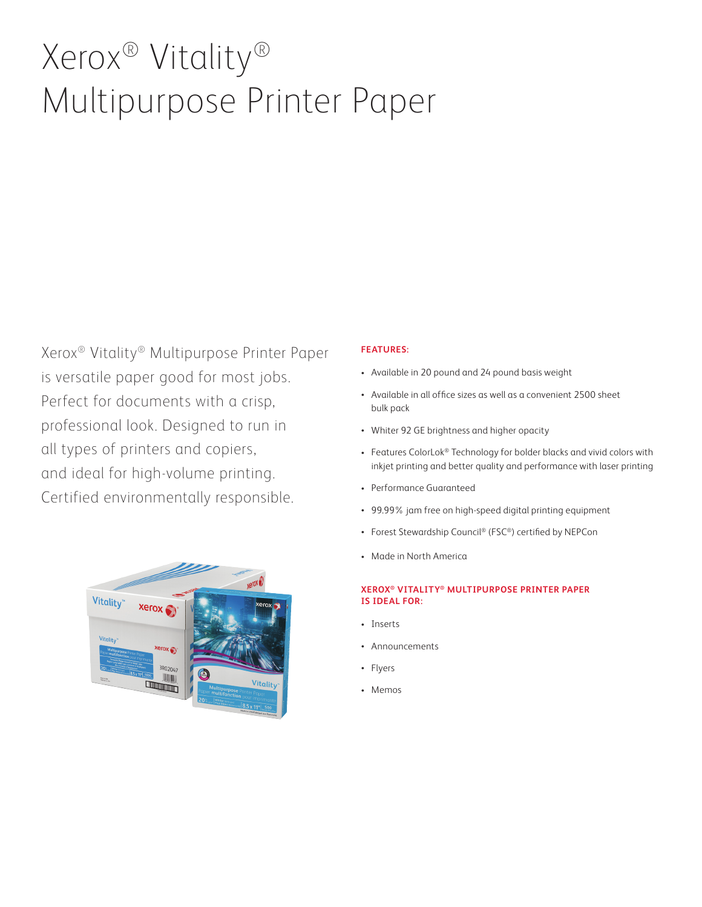# Xerox® Vitality® Multipurpose Printer Paper

Xerox® Vitality® Multipurpose Printer Paper is versatile paper good for most jobs. Perfect for documents with a crisp, professional look. Designed to run in all types of printers and copiers, and ideal for high-volume printing. Certified environmentally responsible.



#### **FEATURES:**

- Available in 20 pound and 24 pound basis weight
- Available in all office sizes as well as a convenient 2500 sheet bulk pack
- Whiter 92 GE brightness and higher opacity
- Features ColorLok® Technology for bolder blacks and vivid colors with inkjet printing and better quality and performance with laser printing
- Performance Guaranteed
- 99.99% jam free on high-speed digital printing equipment
- Forest Stewardship Council® (FSC®) certified by NEPCon
- Made in North America

#### **XEROX® VITALITY® MULTIPURPOSE PRINTER PAPER IS IDEAL FOR:**

- Inserts
- Announcements
- Flyers
- Memos